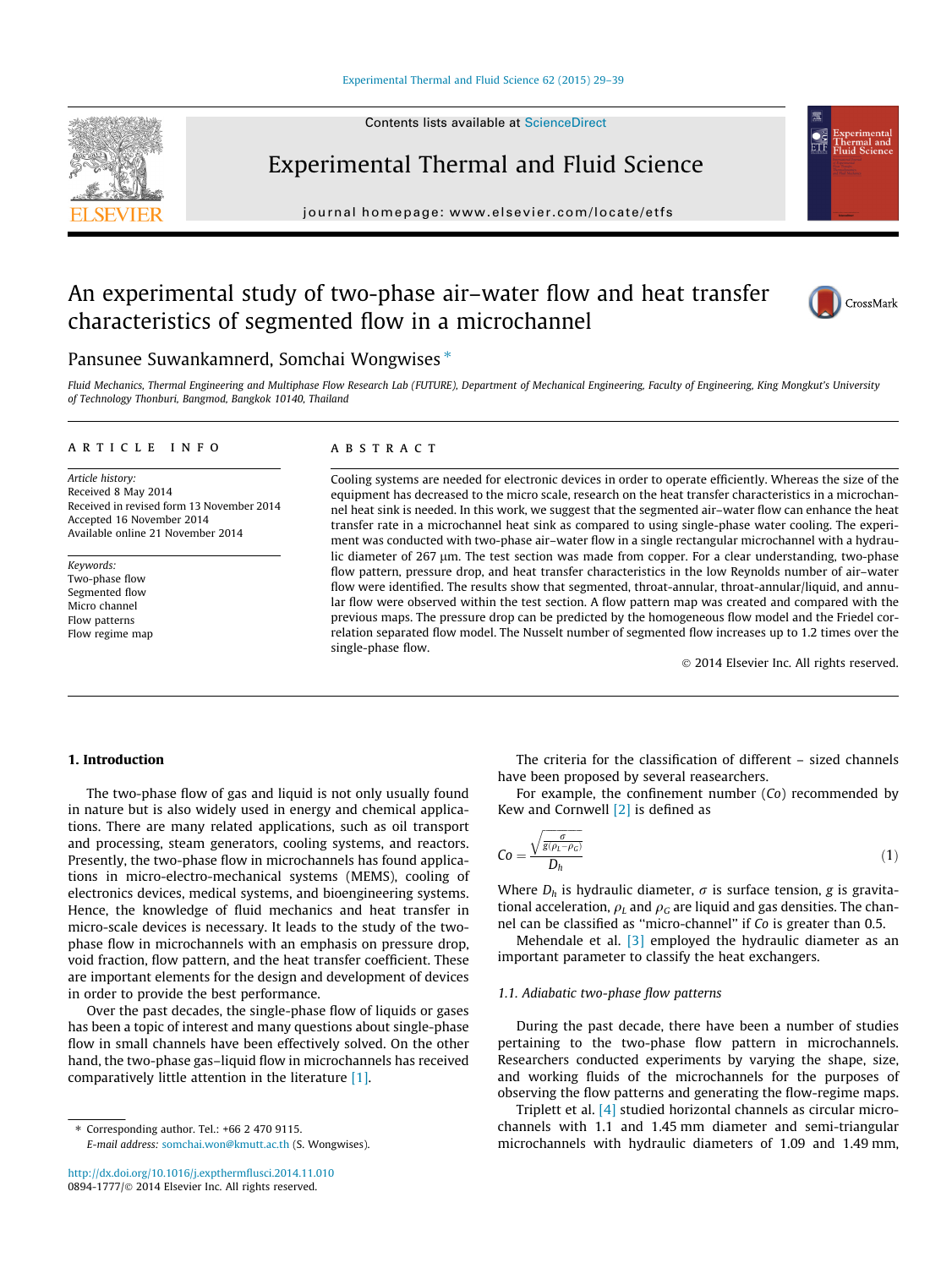Contents lists available at [ScienceDirect](http://www.sciencedirect.com/science/journal/08941777)



Experimental Thermal and Fluid Science

journal homepage: [www.elsevier.com/locate/etfs](http://www.elsevier.com/locate/etfs)

# An experimental study of two-phase air–water flow and heat transfer characteristics of segmented flow in a microchannel



## Pansunee Suwankamnerd, Somchai Wongwises  $*$

Fluid Mechanics, Thermal Engineering and Multiphase Flow Research Lab (FUTURE), Department of Mechanical Engineering, Faculty of Engineering, King Mongkut's University of Technology Thonburi, Bangmod, Bangkok 10140, Thailand

#### article info

Article history: Received 8 May 2014 Received in revised form 13 November 2014 Accepted 16 November 2014 Available online 21 November 2014

Keywords: Two-phase flow Segmented flow Micro channel Flow patterns Flow regime map

#### **ABSTRACT**

Cooling systems are needed for electronic devices in order to operate efficiently. Whereas the size of the equipment has decreased to the micro scale, research on the heat transfer characteristics in a microchannel heat sink is needed. In this work, we suggest that the segmented air–water flow can enhance the heat transfer rate in a microchannel heat sink as compared to using single-phase water cooling. The experiment was conducted with two-phase air–water flow in a single rectangular microchannel with a hydraulic diameter of 267 µm. The test section was made from copper. For a clear understanding, two-phase flow pattern, pressure drop, and heat transfer characteristics in the low Reynolds number of air–water flow were identified. The results show that segmented, throat-annular, throat-annular/liquid, and annular flow were observed within the test section. A flow pattern map was created and compared with the previous maps. The pressure drop can be predicted by the homogeneous flow model and the Friedel correlation separated flow model. The Nusselt number of segmented flow increases up to 1.2 times over the single-phase flow.

- 2014 Elsevier Inc. All rights reserved.

#### 1. Introduction

The two-phase flow of gas and liquid is not only usually found in nature but is also widely used in energy and chemical applications. There are many related applications, such as oil transport and processing, steam generators, cooling systems, and reactors. Presently, the two-phase flow in microchannels has found applications in micro-electro-mechanical systems (MEMS), cooling of electronics devices, medical systems, and bioengineering systems. Hence, the knowledge of fluid mechanics and heat transfer in micro-scale devices is necessary. It leads to the study of the twophase flow in microchannels with an emphasis on pressure drop, void fraction, flow pattern, and the heat transfer coefficient. These are important elements for the design and development of devices in order to provide the best performance.

Over the past decades, the single-phase flow of liquids or gases has been a topic of interest and many questions about single-phase flow in small channels have been effectively solved. On the other hand, the two-phase gas–liquid flow in microchannels has received comparatively little attention in the literature [\[1\].](#page--1-0)

 $*$  Corresponding author. Tel.:  $+66$  2 470 9115. E-mail address: [somchai.won@kmutt.ac.th](mailto:somchai.won@kmutt.ac.th) (S. Wongwises).

The criteria for the classification of different – sized channels have been proposed by several reasearchers.

For example, the confinement number (Co) recommended by Kew and Cornwell  $[2]$  is defined as

$$
Co = \frac{\sqrt{\frac{\sigma}{g(\rho_L - \rho_G)}}}{D_h} \tag{1}
$$

Where  $D_h$  is hydraulic diameter,  $\sigma$  is surface tension, g is gravitational acceleration,  $\rho_L$  and  $\rho_G$  are liquid and gas densities. The channel can be classified as ''micro-channel'' if Co is greater than 0.5.

Mehendale et al.  $\begin{bmatrix} 3 \end{bmatrix}$  employed the hydraulic diameter as an important parameter to classify the heat exchangers.

#### 1.1. Adiabatic two-phase flow patterns

During the past decade, there have been a number of studies pertaining to the two-phase flow pattern in microchannels. Researchers conducted experiments by varying the shape, size, and working fluids of the microchannels for the purposes of observing the flow patterns and generating the flow-regime maps.

Triplett et al. [\[4\]](#page--1-0) studied horizontal channels as circular microchannels with 1.1 and 1.45 mm diameter and semi-triangular microchannels with hydraulic diameters of 1.09 and 1.49 mm,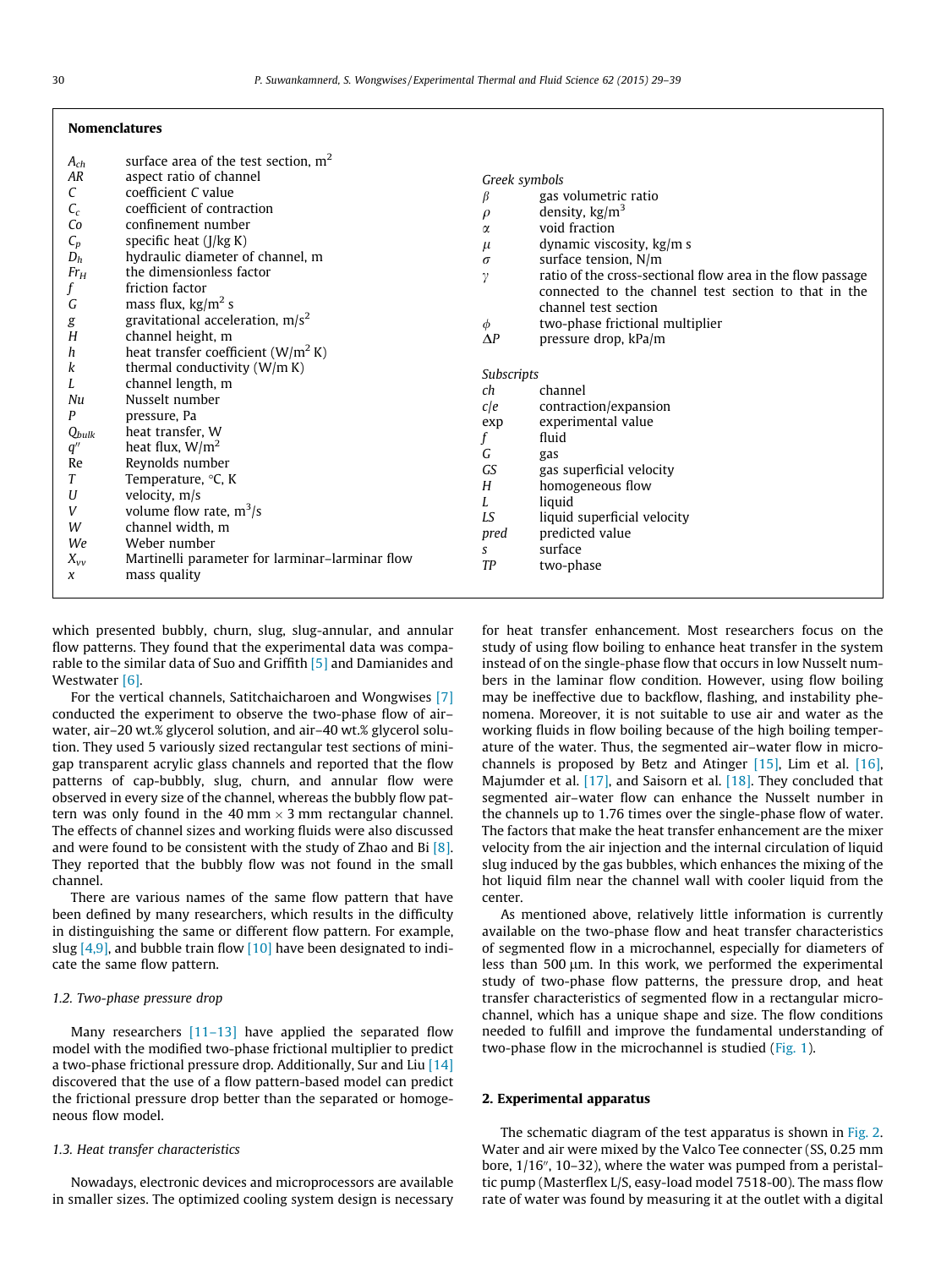|                    | surface area of the test section, $m2$          |               |                                                            |
|--------------------|-------------------------------------------------|---------------|------------------------------------------------------------|
| $A_{ch}$<br>AR     | aspect ratio of channel                         | Greek symbols |                                                            |
|                    | coefficient C value                             |               |                                                            |
| C                  | coefficient of contraction                      | β             | gas volumetric ratio                                       |
| $C_c$              |                                                 | $\rho$        | density, $\text{kg/m}^3$                                   |
| Co                 | confinement number                              | α             | void fraction                                              |
| $C_p$              | specific heat $(J/kg K)$                        | $\mu$         | dynamic viscosity, kg/m s                                  |
| $D_h$              | hydraulic diameter of channel, m                | $\sigma$      | surface tension, N/m                                       |
| $Fr_H$             | the dimensionless factor                        | $\gamma$      | ratio of the cross-sectional flow area in the flow passage |
| f                  | friction factor                                 |               | connected to the channel test section to that in the       |
| G                  | mass flux, $\text{kg/m}^2$ s                    |               | channel test section                                       |
| g                  | gravitational acceleration, $m/s2$              | $\phi$        | two-phase frictional multiplier                            |
| H                  | channel height, m                               | $\Delta P$    | pressure drop, kPa/m                                       |
| h                  | heat transfer coefficient ( $W/m2 K$ )          |               |                                                            |
| k                  | thermal conductivity $(W/m K)$                  | Subscripts    |                                                            |
| L                  | channel length, m                               | ch            | channel                                                    |
| Nu                 | Nusselt number                                  | cle           | contraction/expansion                                      |
| Ρ                  | pressure, Pa                                    | exp           | experimental value                                         |
| $Q_{bulk}$         | heat transfer, W                                |               | fluid                                                      |
| $q^{\prime\prime}$ | heat flux, $W/m^2$                              | G             | gas                                                        |
| Re                 | Reynolds number                                 | GS            | gas superficial velocity                                   |
| T                  | Temperature, °C, K                              | H             | homogeneous flow                                           |
| U                  | velocity, m/s                                   |               | liquid                                                     |
| V                  | volume flow rate, $m^3/s$                       | LS            | liquid superficial velocity                                |
| W                  | channel width, m                                |               |                                                            |
| We                 | Weber number                                    | pred          | predicted value<br>surface                                 |
| $X_{VV}$           | Martinelli parameter for larminar-larminar flow | S<br>TP       |                                                            |
| $\chi$             | mass quality                                    |               | two-phase                                                  |
|                    |                                                 |               |                                                            |

which presented bubbly, churn, slug, slug-annular, and annular flow patterns. They found that the experimental data was comparable to the similar data of Suo and Griffith [\[5\]](#page--1-0) and Damianides and Westwater [\[6\]](#page--1-0).

For the vertical channels, Satitchaicharoen and Wongwises [\[7\]](#page--1-0) conducted the experiment to observe the two-phase flow of air– water, air–20 wt.% glycerol solution, and air–40 wt.% glycerol solution. They used 5 variously sized rectangular test sections of minigap transparent acrylic glass channels and reported that the flow patterns of cap-bubbly, slug, churn, and annular flow were observed in every size of the channel, whereas the bubbly flow pattern was only found in the 40 mm  $\times$  3 mm rectangular channel. The effects of channel sizes and working fluids were also discussed and were found to be consistent with the study of Zhao and Bi [\[8\].](#page--1-0) They reported that the bubbly flow was not found in the small channel.

There are various names of the same flow pattern that have been defined by many researchers, which results in the difficulty in distinguishing the same or different flow pattern. For example, slug  $[4,9]$ , and bubble train flow  $[10]$  have been designated to indicate the same flow pattern.

#### 1.2. Two-phase pressure drop

Many researchers  $[11-13]$  have applied the separated flow model with the modified two-phase frictional multiplier to predict a two-phase frictional pressure drop. Additionally, Sur and Liu [\[14\]](#page--1-0) discovered that the use of a flow pattern-based model can predict the frictional pressure drop better than the separated or homogeneous flow model.

### 1.3. Heat transfer characteristics

Nowadays, electronic devices and microprocessors are available in smaller sizes. The optimized cooling system design is necessary for heat transfer enhancement. Most researchers focus on the study of using flow boiling to enhance heat transfer in the system instead of on the single-phase flow that occurs in low Nusselt numbers in the laminar flow condition. However, using flow boiling may be ineffective due to backflow, flashing, and instability phenomena. Moreover, it is not suitable to use air and water as the working fluids in flow boiling because of the high boiling temperature of the water. Thus, the segmented air–water flow in microchannels is proposed by Betz and Atinger  $[15]$ , Lim et al.  $[16]$ , Majumder et al. [\[17\],](#page--1-0) and Saisorn et al. [\[18\].](#page--1-0) They concluded that segmented air–water flow can enhance the Nusselt number in the channels up to 1.76 times over the single-phase flow of water. The factors that make the heat transfer enhancement are the mixer velocity from the air injection and the internal circulation of liquid slug induced by the gas bubbles, which enhances the mixing of the hot liquid film near the channel wall with cooler liquid from the center.

As mentioned above, relatively little information is currently available on the two-phase flow and heat transfer characteristics of segmented flow in a microchannel, especially for diameters of less than 500  $\mu$ m. In this work, we performed the experimental study of two-phase flow patterns, the pressure drop, and heat transfer characteristics of segmented flow in a rectangular microchannel, which has a unique shape and size. The flow conditions needed to fulfill and improve the fundamental understanding of two-phase flow in the microchannel is studied [\(Fig. 1\)](#page--1-0).

#### 2. Experimental apparatus

The schematic diagram of the test apparatus is shown in [Fig. 2.](#page--1-0) Water and air were mixed by the Valco Tee connecter (SS, 0.25 mm bore,  $1/16$ ",  $10-32$ ), where the water was pumped from a peristaltic pump (Masterflex L/S, easy-load model 7518-00). The mass flow rate of water was found by measuring it at the outlet with a digital

Nomenclatures